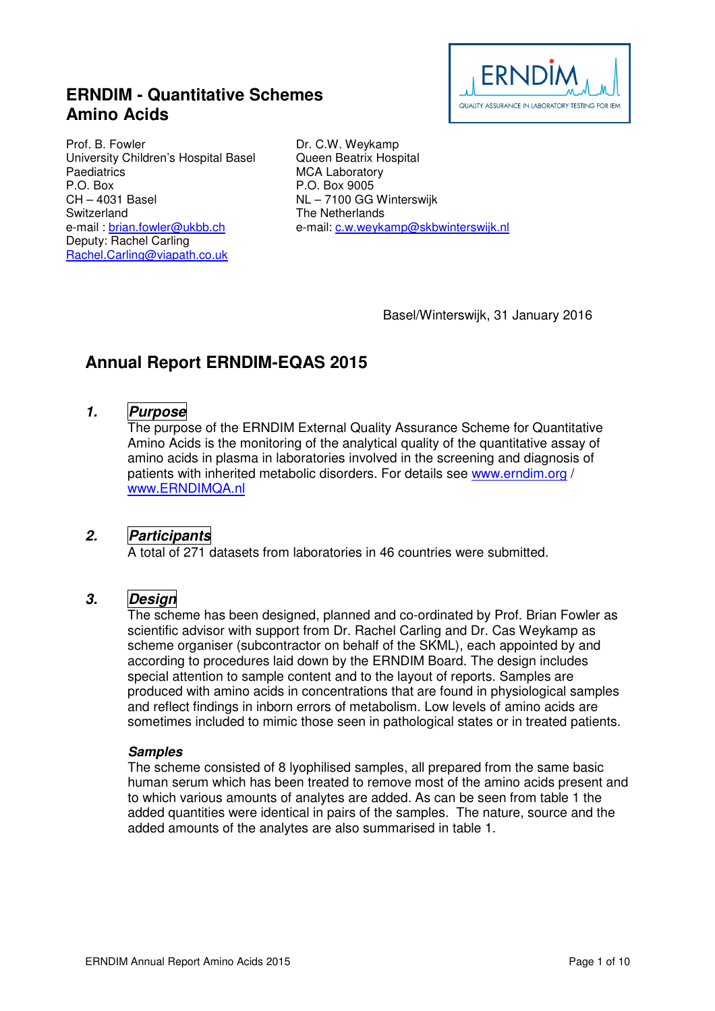## **ERNDIM - Quantitative Schemes Amino Acids**



Prof. B. Fowler University Children's Hospital Basel **Paediatrics** P.O. Box CH – 4031 Basel Switzerland e-mail: brian.fowler@ukbb.ch Deputy: Rachel Carling Rachel.Carling@viapath.co.uk

Dr. C.W. Weykamp Queen Beatrix Hospital MCA Laboratory P.O. Box 9005 NL – 7100 GG Winterswijk The Netherlands e-mail: c.w.weykamp@skbwinterswijk.nl

Basel/Winterswijk, 31 January 2016

# **Annual Report ERNDIM-EQAS 2015**

### **1. Purpose**

The purpose of the ERNDIM External Quality Assurance Scheme for Quantitative Amino Acids is the monitoring of the analytical quality of the quantitative assay of amino acids in plasma in laboratories involved in the screening and diagnosis of patients with inherited metabolic disorders. For details see www.erndim.org / www.ERNDIMQA.nl

### **2. Participants**

A total of 271 datasets from laboratories in 46 countries were submitted.

### **3. Design**

The scheme has been designed, planned and co-ordinated by Prof. Brian Fowler as scientific advisor with support from Dr. Rachel Carling and Dr. Cas Weykamp as scheme organiser (subcontractor on behalf of the SKML), each appointed by and according to procedures laid down by the ERNDIM Board. The design includes special attention to sample content and to the layout of reports. Samples are produced with amino acids in concentrations that are found in physiological samples and reflect findings in inborn errors of metabolism. Low levels of amino acids are sometimes included to mimic those seen in pathological states or in treated patients.

#### **Samples**

The scheme consisted of 8 lyophilised samples, all prepared from the same basic human serum which has been treated to remove most of the amino acids present and to which various amounts of analytes are added. As can be seen from table 1 the added quantities were identical in pairs of the samples. The nature, source and the added amounts of the analytes are also summarised in table 1.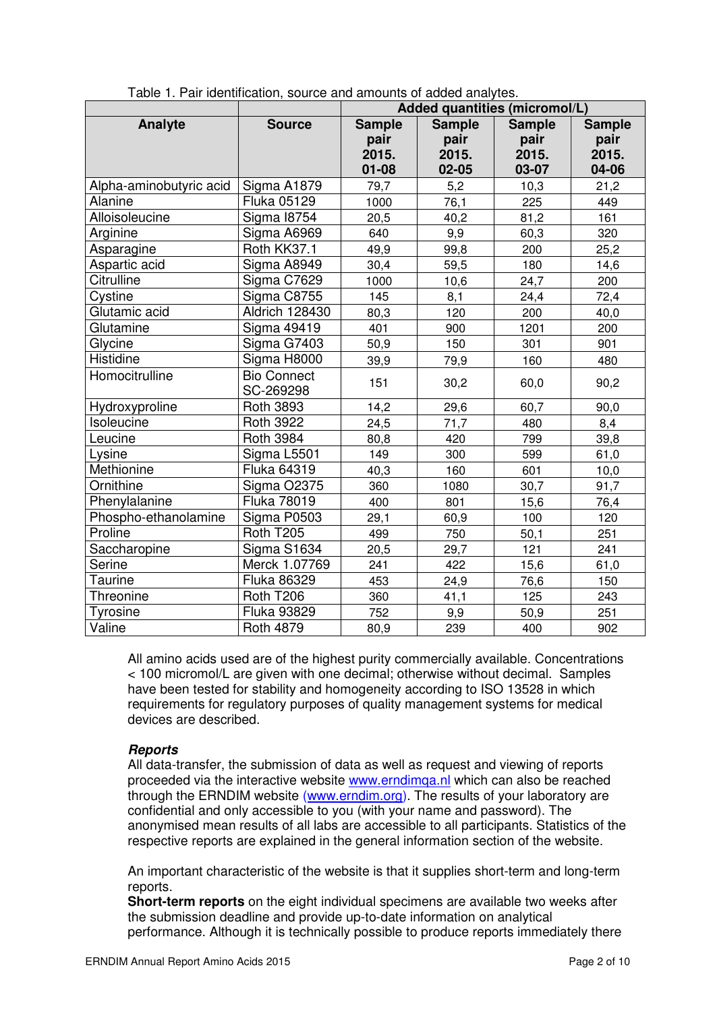|                         |                                 | Added quantities (micromol/L)               |                                             |                                         |                                         |  |  |
|-------------------------|---------------------------------|---------------------------------------------|---------------------------------------------|-----------------------------------------|-----------------------------------------|--|--|
| Analyte                 | <b>Source</b>                   | <b>Sample</b><br>pair<br>2015.<br>$01 - 08$ | <b>Sample</b><br>pair<br>2015.<br>$02 - 05$ | <b>Sample</b><br>pair<br>2015.<br>03-07 | <b>Sample</b><br>pair<br>2015.<br>04-06 |  |  |
| Alpha-aminobutyric acid | Sigma A1879                     | 79,7                                        | 5,2                                         | 10,3                                    | 21,2                                    |  |  |
| Alanine                 | Fluka 05129                     | 1000                                        | 76,1                                        | 225                                     | 449                                     |  |  |
| Alloisoleucine          | <b>Sigma 18754</b>              | 20,5                                        | 40,2                                        | 81,2                                    | 161                                     |  |  |
| Arginine                | Sigma A6969                     | 640                                         | 9,9                                         | 60,3                                    | 320                                     |  |  |
| Asparagine              | Roth KK37.1                     | 49,9                                        | 99,8                                        | 200                                     | 25,2                                    |  |  |
| Aspartic acid           | Sigma A8949                     | 30,4                                        | 59,5                                        | 180                                     | 14,6                                    |  |  |
| Citrulline              | Sigma C7629                     | 1000                                        | 10,6                                        | 24,7                                    | 200                                     |  |  |
| Cystine                 | Sigma C8755                     | 145                                         | 8,1                                         | 24,4                                    | 72,4                                    |  |  |
| Glutamic acid           | <b>Aldrich 128430</b>           | 80,3                                        | 120                                         | 200                                     | 40,0                                    |  |  |
| Glutamine               | <b>Sigma 49419</b>              | 401                                         | 900                                         | 1201                                    | 200                                     |  |  |
| Glycine                 | Sigma G7403                     | 50,9                                        | 150                                         | 301                                     | 901                                     |  |  |
| Histidine               | Sigma H8000                     | 39,9                                        | 79,9                                        | 160                                     | 480                                     |  |  |
| Homocitrulline          | <b>Bio Connect</b><br>SC-269298 | 151                                         | 30,2                                        | 60,0                                    | 90,2                                    |  |  |
| Hydroxyproline          | <b>Roth 3893</b>                | 14,2                                        | 29,6                                        | 60,7                                    | 90,0                                    |  |  |
| Isoleucine              | <b>Roth 3922</b>                | 24,5                                        | 71,7                                        | 480                                     | 8,4                                     |  |  |
| Leucine                 | <b>Roth 3984</b>                | 80,8                                        | 420                                         | 799                                     | 39,8                                    |  |  |
| Lysine                  | Sigma L5501                     | 149                                         | 300                                         | 599                                     | 61,0                                    |  |  |
| Methionine              | Fluka 64319                     | 40,3                                        | 160                                         | 601                                     | 10,0                                    |  |  |
| Ornithine               | <b>Sigma O2375</b>              | 360                                         | 1080                                        | 30,7                                    | 91,7                                    |  |  |
| Phenylalanine           | <b>Fluka 78019</b>              | 400                                         | 801                                         | 15,6                                    | 76,4                                    |  |  |
| Phospho-ethanolamine    | Sigma P0503                     | 29,1                                        | 60,9                                        | 100                                     | 120                                     |  |  |
| Proline                 | Roth T205                       | 499                                         | 750                                         | 50,1                                    | 251                                     |  |  |
| Saccharopine            | Sigma S1634                     | 20,5                                        | 29,7                                        | 121                                     | 241                                     |  |  |
| Serine                  | Merck 1.07769                   | 241                                         | 422                                         | 15,6                                    | 61,0                                    |  |  |
| Taurine                 | Fluka 86329                     | 453                                         | 24,9                                        | 76,6                                    | 150                                     |  |  |
| Threonine               | Roth T206                       | 360                                         | 41,1                                        | 125                                     | 243                                     |  |  |
| Tyrosine                | <b>Fluka 93829</b>              | 752                                         | 9,9                                         | 50,9                                    | 251                                     |  |  |
| Valine                  | <b>Roth 4879</b>                | 80,9                                        | 239                                         | 400                                     | 902                                     |  |  |

Table 1. Pair identification, source and amounts of added analytes.

All amino acids used are of the highest purity commercially available. Concentrations < 100 micromol/L are given with one decimal; otherwise without decimal. Samples have been tested for stability and homogeneity according to ISO 13528 in which requirements for regulatory purposes of quality management systems for medical devices are described.

#### **Reports**

All data-transfer, the submission of data as well as request and viewing of reports proceeded via the interactive website www.erndimqa.nl which can also be reached through the ERNDIM website (www.erndim.org). The results of your laboratory are confidential and only accessible to you (with your name and password). The anonymised mean results of all labs are accessible to all participants. Statistics of the respective reports are explained in the general information section of the website.

An important characteristic of the website is that it supplies short-term and long-term reports.

**Short-term reports** on the eight individual specimens are available two weeks after the submission deadline and provide up-to-date information on analytical performance. Although it is technically possible to produce reports immediately there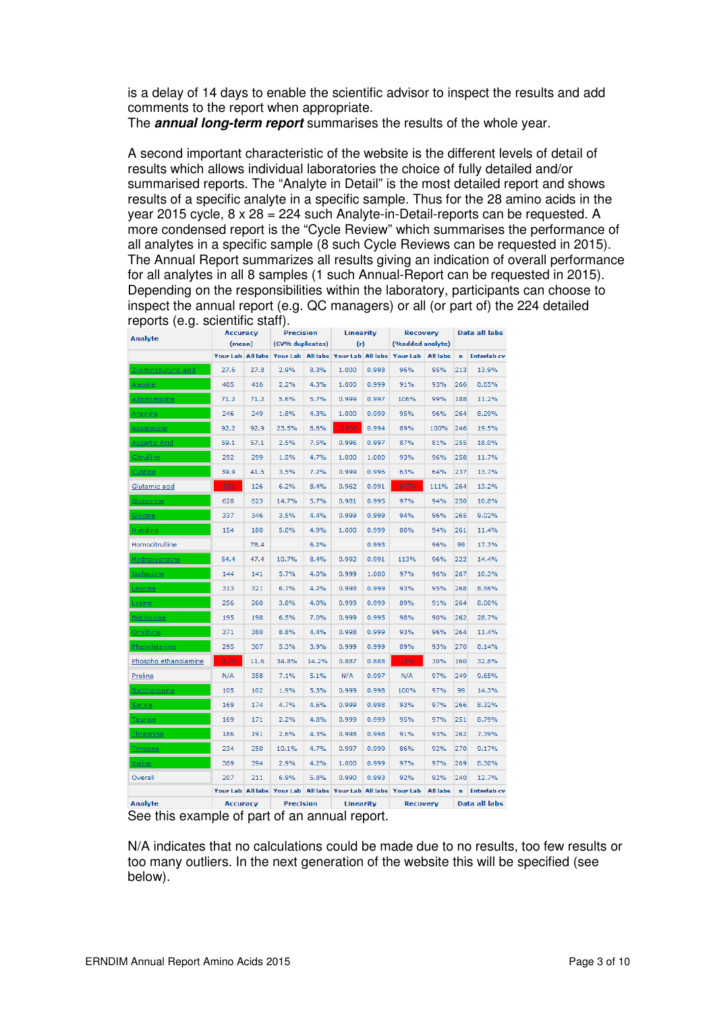is a delay of 14 days to enable the scientific advisor to inspect the results and add comments to the report when appropriate.

The **annual long-term report** summarises the results of the whole year.

A second important characteristic of the website is the different levels of detail of results which allows individual laboratories the choice of fully detailed and/or summarised reports. The "Analyte in Detail" is the most detailed report and shows results of a specific analyte in a specific sample. Thus for the 28 amino acids in the year 2015 cycle, 8 x 28 = 224 such Analyte-in-Detail-reports can be requested. A more condensed report is the "Cycle Review" which summarises the performance of all analytes in a specific sample (8 such Cycle Reviews can be requested in 2015). The Annual Report summarizes all results giving an indication of overall performance for all analytes in all 8 samples (1 such Annual-Report can be requested in 2015). Depending on the responsibilities within the laboratory, participants can choose to inspect the annual report (e.g. QC managers) or all (or part of) the 224 detailed reports (e.g. scientific staff).

| <b>Analyte</b>        | <b>Accuracy</b> |                  | <b>Precision</b>                                               |       | <b>Linearity</b> |       | <b>Recovery</b>  |                 | Data all labs |                    |
|-----------------------|-----------------|------------------|----------------------------------------------------------------|-------|------------------|-------|------------------|-----------------|---------------|--------------------|
|                       | (mean)          | (CV% duplicates) |                                                                |       | (r)              |       | (%added analyte) |                 |               |                    |
|                       |                 |                  | Your Lab All labs Your Lab All labs Your Lab All labs Your Lab |       |                  |       |                  | <b>All labs</b> | $\mathbf{r}$  | <b>Interlab</b> cv |
| 2-Aminobutyric acid   | 27.6            | 27.8             | 2.9%                                                           | 8.3%  | 1.000            | 0.998 | 96%              | 95%             | 213           | 13.9%              |
| Alanine               | 405             | 416              | 2.2%                                                           | 4.3%  | 1.000            | 0.999 | 91%              | 93%             | 266           | 8.65%              |
| <u>Alloisoleucine</u> | 71.2            | 71.2             | 5.6%                                                           | 5.7%  | 0.999            | 0.997 | 106%             | 99%             | 188           | 11.2%              |
| <b>Arginine</b>       | 246             | 249              | 1.8%                                                           | 4.3%  | 1.000            | 0.999 | 95%              | 96%             | 264           | 8.29%              |
| Asparagine            | 92.2            | 92.9             | 23.5%                                                          | 8.6%  | 0.936            | 0.994 | 89%              | 100%            | 246           | 19.5%              |
| <u> Aspartic Acid</u> | 59.1            | 57.1             | 2.5%                                                           | 7.5%  | 0.996            | 0.997 | 87%              | 81%             | 255           | 18.0%              |
| Citrulline            | 292             | 299              | 1.5%                                                           | 4.7%  | 1.000            | 1.000 | 93%              | 96%             | 258           | 11.7%              |
| Cystine               | 39.9            | 41.5             | 3.5%                                                           | 7.2%  | 0.999            | 0.996 | 63%              | 64%             | 237           | 13.7%              |
| Glutamic acid         | 152             | 126              | 6.2%                                                           | 8.4%  | 0.962            | 0.991 | 147%             | 111%            | 264           | 13.2%              |
| <u>Glutamine</u>      | 628             | 623              | 14.7%                                                          | 5.7%  | 0.981            | 0.995 | 97%              | 94%             | 250           | 10.8%              |
| <b>Glycine</b>        | 337             | 346              | 3.5%                                                           | 4.4%  | 0.999            | 0.999 | 94%              | 96%             | 265           | 9.02%              |
| <b>Histidine</b>      | 154             | 180              | 5.0%                                                           | 4.9%  | 1.000            | 0.999 | 80%              | 94%             | 261           | 11.4%              |
| Homocitrulline        |                 | 78.4             |                                                                | 6.2%  |                  | 0.993 |                  | 96%             | 99            | 17.3%              |
| <b>Hydroxyproline</b> | 54.4            | 47.4             | 10.7%                                                          | 8.4%  | 0.992            | 0.991 | 113%             | 96%             | 222           | 14.4%              |
| <b>Isoleucine</b>     | 144             | 141              | 5.7%                                                           | 4.0%  | 0.999            | 1.000 | 97%              | 96%             | 267           | 10.3%              |
| <u>Leucine</u>        | 313             | 321              | 6.7%                                                           | 4.2%  | 0.998            | 0.999 | 93%              | 95%             | 268           | 8.56%              |
| Lysine                | 256             | 260              | 3.8%                                                           | 4.0%  | 0.999            | 0.999 | 89%              | 91%             | 264           | 8.00%              |
| <b>Methionine</b>     | 195             | 198              | 6.5%                                                           | 7.0%  | 0.999            | 0.995 | 98%              | 90%             | 262           | 28.7%              |
| Ornithine             | 371             | 380              | 8.8%                                                           | 4.4%  | 0.998            | 0.999 | 93%              | 96%             | 264           | 11.4%              |
| Phenylalanine         | 295             | 307              | 5.3%                                                           | 3.9%  | 0.999            | 0.999 | 89%              | 93%             | 270           | 8.14%              |
| Phospho ethanolamine  | 5.75            | 11.6             | 34.8%                                                          | 14.2% | 0.887            | 0.888 | 15%              | 30%             | 160           | 32.8%              |
| Proline               | N/A             | 358              | 7.1%                                                           | 5.1%  | N/A              | 0.997 | N/A              | 97%             | 249           | 9.65%              |
| Saccharopine          | 105             | 102              | 1.9%                                                           | 5.3%  | 0.999            | 0.998 | 100%             | 97%             | 99            | 14.3%              |
| <u>Serine</u>         | 169             | 174              | 4.7%                                                           | 4.6%  | 0.999            | 0.998 | 93%              | 97%             | 266           | 8.32%              |
| <b>Taurine</b>        | 169             | 171              | 2.2%                                                           | 4.8%  | 0.999            | 0.999 | 95%              | 97%             | 251           | 8.79%              |
| <u>Threonine</u>      | 186             | 191              | 2.6%                                                           | 4.3%  | 0.998            | 0.998 | 91%              | 93%             | 262           | 7.39%              |
| <u>Tyrosine</u>       | 234             | 250              | 10.1%                                                          | 4.7%  | 0.997            | 0.999 | 86%              | 92%             | 270           | 9.17%              |
| <u>Valine</u>         | 389             | 394              | 2.9%                                                           | 4.2%  | 1.000            | 0.999 | 97%              | 97%             | 269           | 8.30%              |
| Overall               | 207             | 211              | 6.9%                                                           | 5.8%  | 0.990            | 0.993 | 92%              | 92%             | 240           | 12.7%              |
|                       |                 |                  | Your Lab All labs Your Lab All labs Your Lab All labs Your Lab |       |                  |       |                  | <b>All labs</b> | $\mathbf{r}$  | <b>Interlab</b> cv |
| <b>Analyte</b>        | <b>Accuracy</b> |                  | <b>Precision</b>                                               |       | <b>Linearity</b> |       | <b>Recovery</b>  |                 |               | Data all labs      |

See this example of part of an annual report.

N/A indicates that no calculations could be made due to no results, too few results or too many outliers. In the next generation of the website this will be specified (see below).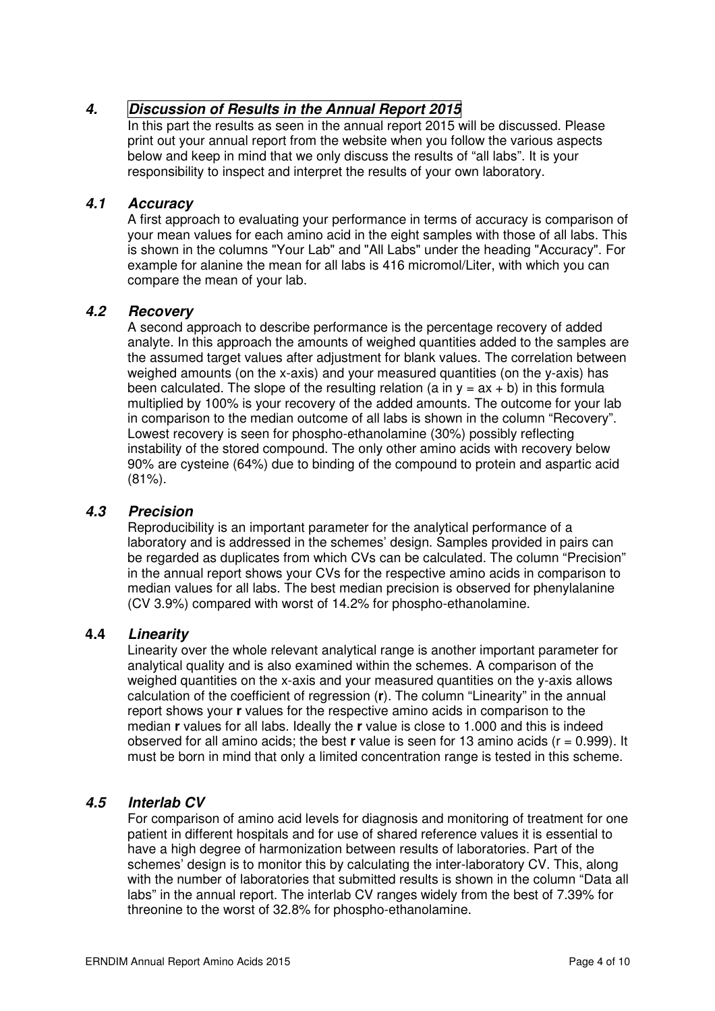### **4. Discussion of Results in the Annual Report 2015**

In this part the results as seen in the annual report 2015 will be discussed. Please print out your annual report from the website when you follow the various aspects below and keep in mind that we only discuss the results of "all labs". It is your responsibility to inspect and interpret the results of your own laboratory.

### **4.1 Accuracy**

A first approach to evaluating your performance in terms of accuracy is comparison of your mean values for each amino acid in the eight samples with those of all labs. This is shown in the columns "Your Lab" and "All Labs" under the heading "Accuracy". For example for alanine the mean for all labs is 416 micromol/Liter, with which you can compare the mean of your lab.

### **4.2 Recovery**

A second approach to describe performance is the percentage recovery of added analyte. In this approach the amounts of weighed quantities added to the samples are the assumed target values after adjustment for blank values. The correlation between weighed amounts (on the x-axis) and your measured quantities (on the y-axis) has been calculated. The slope of the resulting relation (a in  $y = ax + b$ ) in this formula multiplied by 100% is your recovery of the added amounts. The outcome for your lab in comparison to the median outcome of all labs is shown in the column "Recovery". Lowest recovery is seen for phospho-ethanolamine (30%) possibly reflecting instability of the stored compound. The only other amino acids with recovery below 90% are cysteine (64%) due to binding of the compound to protein and aspartic acid (81%).

### **4.3 Precision**

Reproducibility is an important parameter for the analytical performance of a laboratory and is addressed in the schemes' design. Samples provided in pairs can be regarded as duplicates from which CVs can be calculated. The column "Precision" in the annual report shows your CVs for the respective amino acids in comparison to median values for all labs. The best median precision is observed for phenylalanine (CV 3.9%) compared with worst of 14.2% for phospho-ethanolamine.

### **4.4 Linearity**

Linearity over the whole relevant analytical range is another important parameter for analytical quality and is also examined within the schemes. A comparison of the weighed quantities on the x-axis and your measured quantities on the y-axis allows calculation of the coefficient of regression (**r**). The column "Linearity" in the annual report shows your **r** values for the respective amino acids in comparison to the median **r** values for all labs. Ideally the **r** value is close to 1.000 and this is indeed observed for all amino acids; the best **r** value is seen for 13 amino acids (r = 0.999). It must be born in mind that only a limited concentration range is tested in this scheme.

### **4.5 Interlab CV**

For comparison of amino acid levels for diagnosis and monitoring of treatment for one patient in different hospitals and for use of shared reference values it is essential to have a high degree of harmonization between results of laboratories. Part of the schemes' design is to monitor this by calculating the inter-laboratory CV. This, along with the number of laboratories that submitted results is shown in the column "Data all labs" in the annual report. The interlab CV ranges widely from the best of 7.39% for threonine to the worst of 32.8% for phospho-ethanolamine.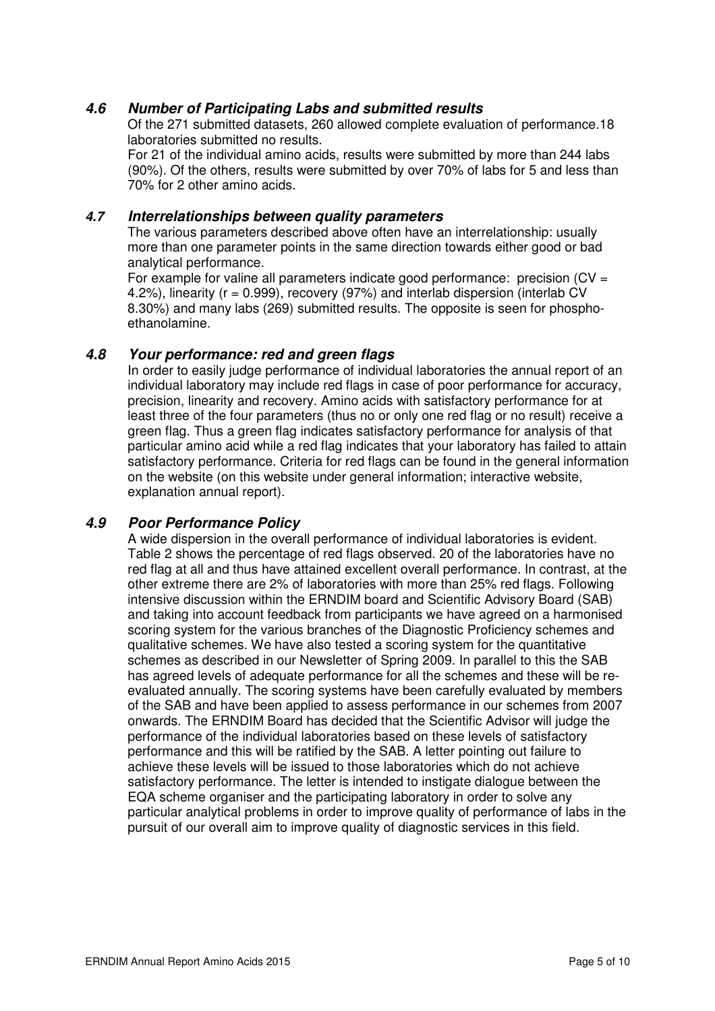### **4.6 Number of Participating Labs and submitted results**

Of the 271 submitted datasets, 260 allowed complete evaluation of performance.18 laboratories submitted no results.

For 21 of the individual amino acids, results were submitted by more than 244 labs (90%). Of the others, results were submitted by over 70% of labs for 5 and less than 70% for 2 other amino acids.

#### **4.7 Interrelationships between quality parameters**

The various parameters described above often have an interrelationship: usually more than one parameter points in the same direction towards either good or bad analytical performance.

For example for valine all parameters indicate good performance: precision ( $CV =$ 4.2%), linearity ( $r = 0.999$ ), recovery (97%) and interlab dispersion (interlab CV 8.30%) and many labs (269) submitted results. The opposite is seen for phosphoethanolamine.

#### **4.8 Your performance: red and green flags**

In order to easily judge performance of individual laboratories the annual report of an individual laboratory may include red flags in case of poor performance for accuracy, precision, linearity and recovery. Amino acids with satisfactory performance for at least three of the four parameters (thus no or only one red flag or no result) receive a green flag. Thus a green flag indicates satisfactory performance for analysis of that particular amino acid while a red flag indicates that your laboratory has failed to attain satisfactory performance. Criteria for red flags can be found in the general information on the website (on this website under general information; interactive website, explanation annual report).

### **4.9 Poor Performance Policy**

A wide dispersion in the overall performance of individual laboratories is evident. Table 2 shows the percentage of red flags observed. 20 of the laboratories have no red flag at all and thus have attained excellent overall performance. In contrast, at the other extreme there are 2% of laboratories with more than 25% red flags. Following intensive discussion within the ERNDIM board and Scientific Advisory Board (SAB) and taking into account feedback from participants we have agreed on a harmonised scoring system for the various branches of the Diagnostic Proficiency schemes and qualitative schemes. We have also tested a scoring system for the quantitative schemes as described in our Newsletter of Spring 2009. In parallel to this the SAB has agreed levels of adequate performance for all the schemes and these will be reevaluated annually. The scoring systems have been carefully evaluated by members of the SAB and have been applied to assess performance in our schemes from 2007 onwards. The ERNDIM Board has decided that the Scientific Advisor will judge the performance of the individual laboratories based on these levels of satisfactory performance and this will be ratified by the SAB. A letter pointing out failure to achieve these levels will be issued to those laboratories which do not achieve satisfactory performance. The letter is intended to instigate dialogue between the EQA scheme organiser and the participating laboratory in order to solve any particular analytical problems in order to improve quality of performance of labs in the pursuit of our overall aim to improve quality of diagnostic services in this field.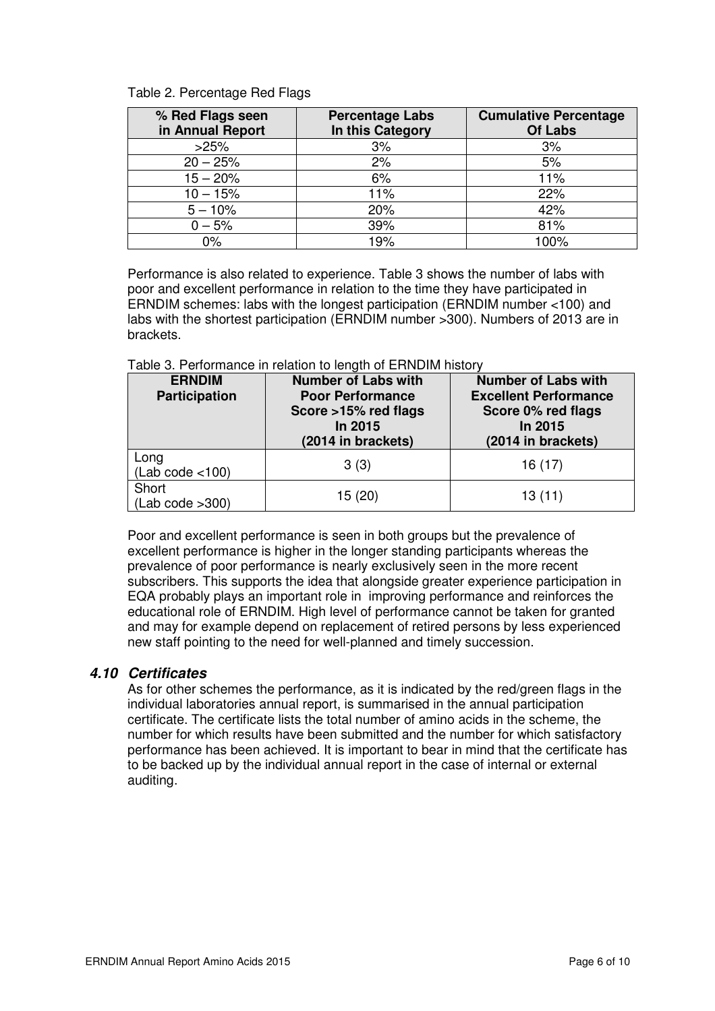Table 2. Percentage Red Flags

| % Red Flags seen<br>in Annual Report | <b>Percentage Labs</b><br>In this Category | <b>Cumulative Percentage</b><br><b>Of Labs</b> |
|--------------------------------------|--------------------------------------------|------------------------------------------------|
| >25%                                 | 3%                                         | 3%                                             |
| $20 - 25%$                           | 2%                                         | 5%                                             |
| $15 - 20%$                           | 6%                                         | 11%                                            |
| $10 - 15%$                           | 11%                                        | 22%                                            |
| $5 - 10%$                            | 20%                                        | 42%                                            |
| $0 - 5%$                             | 39%                                        | 81%                                            |
| $0\%$                                | 19%                                        | 100%                                           |

Performance is also related to experience. Table 3 shows the number of labs with poor and excellent performance in relation to the time they have participated in ERNDIM schemes: labs with the longest participation (ERNDIM number <100) and labs with the shortest participation (ERNDIM number >300). Numbers of 2013 are in brackets.

Table 3. Performance in relation to length of ERNDIM history

| <b>ERNDIM</b><br><b>Participation</b> | <b>Number of Labs with</b><br><b>Poor Performance</b><br>Score >15% red flags<br>In 2015<br>(2014 in brackets) | <b>Number of Labs with</b><br><b>Excellent Performance</b><br>Score 0% red flags<br>In 2015<br>(2014 in brackets) |
|---------------------------------------|----------------------------------------------------------------------------------------------------------------|-------------------------------------------------------------------------------------------------------------------|
| Long<br>(Lab code < 100)              | 3(3)                                                                                                           | 16 (17)                                                                                                           |
| Short<br>(Lab code > 300)             | 15(20)                                                                                                         | 13(11)                                                                                                            |

Poor and excellent performance is seen in both groups but the prevalence of excellent performance is higher in the longer standing participants whereas the prevalence of poor performance is nearly exclusively seen in the more recent subscribers. This supports the idea that alongside greater experience participation in EQA probably plays an important role in improving performance and reinforces the educational role of ERNDIM. High level of performance cannot be taken for granted and may for example depend on replacement of retired persons by less experienced new staff pointing to the need for well-planned and timely succession.

### **4.10 Certificates**

As for other schemes the performance, as it is indicated by the red/green flags in the individual laboratories annual report, is summarised in the annual participation certificate. The certificate lists the total number of amino acids in the scheme, the number for which results have been submitted and the number for which satisfactory performance has been achieved. It is important to bear in mind that the certificate has to be backed up by the individual annual report in the case of internal or external auditing.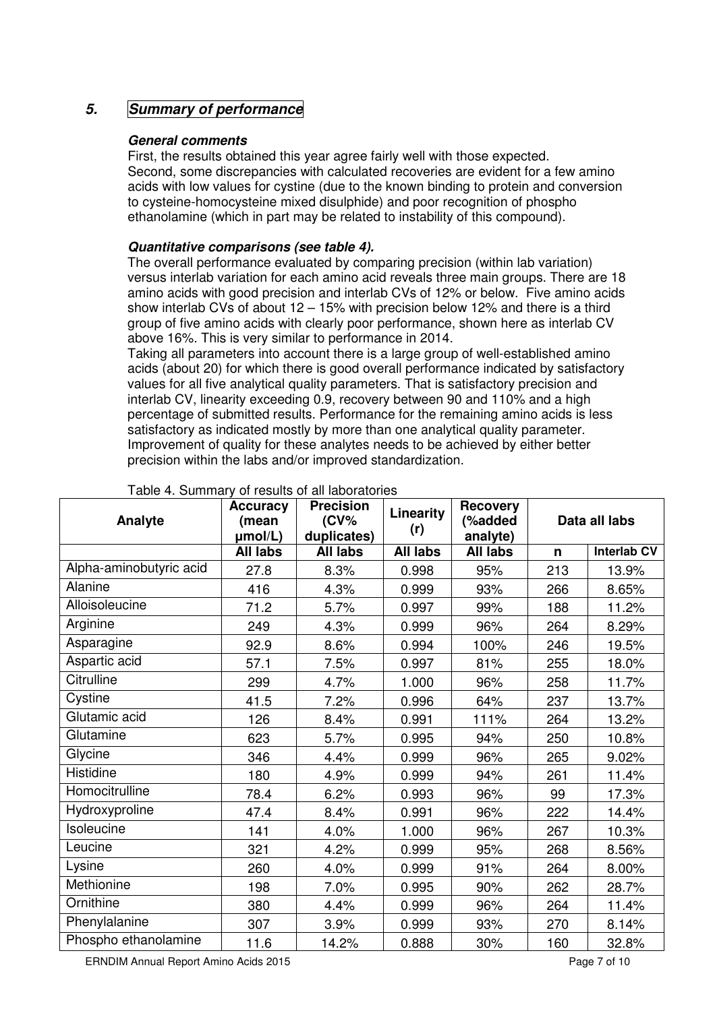### **5. Summary of performance**

#### **General comments**

First, the results obtained this year agree fairly well with those expected. Second, some discrepancies with calculated recoveries are evident for a few amino acids with low values for cystine (due to the known binding to protein and conversion to cysteine-homocysteine mixed disulphide) and poor recognition of phospho ethanolamine (which in part may be related to instability of this compound).

### **Quantitative comparisons (see table 4).**

The overall performance evaluated by comparing precision (within lab variation) versus interlab variation for each amino acid reveals three main groups. There are 18 amino acids with good precision and interlab CVs of 12% or below. Five amino acids show interlab CVs of about 12 – 15% with precision below 12% and there is a third group of five amino acids with clearly poor performance, shown here as interlab CV above 16%. This is very similar to performance in 2014.

Taking all parameters into account there is a large group of well-established amino acids (about 20) for which there is good overall performance indicated by satisfactory values for all five analytical quality parameters. That is satisfactory precision and interlab CV, linearity exceeding 0.9, recovery between 90 and 110% and a high percentage of submitted results. Performance for the remaining amino acids is less satisfactory as indicated mostly by more than one analytical quality parameter. Improvement of quality for these analytes needs to be achieved by either better precision within the labs and/or improved standardization.

| Analyte                 | <b>Accuracy</b><br>(mean<br>µmol/L) | <b>Precision</b><br>$(CV\%$<br>duplicates) | Linearity<br>(r) | <b>Recovery</b><br>(%added<br>analyte) | Data all labs |                    |
|-------------------------|-------------------------------------|--------------------------------------------|------------------|----------------------------------------|---------------|--------------------|
|                         | <b>All labs</b>                     | <b>All labs</b>                            | All labs         | All labs                               | n             | <b>Interlab CV</b> |
| Alpha-aminobutyric acid | 27.8                                | 8.3%                                       | 0.998            | 95%                                    | 213           | 13.9%              |
| Alanine                 | 416                                 | 4.3%                                       | 0.999            | 93%                                    | 266           | 8.65%              |
| Alloisoleucine          | 71.2                                | 5.7%                                       | 0.997            | 99%                                    | 188           | 11.2%              |
| Arginine                | 249                                 | 4.3%                                       | 0.999            | 96%                                    | 264           | 8.29%              |
| Asparagine              | 92.9                                | 8.6%                                       | 0.994            | 100%                                   | 246           | 19.5%              |
| Aspartic acid           | 57.1                                | 7.5%                                       | 0.997            | 81%                                    | 255           | 18.0%              |
| Citrulline              | 299                                 | 4.7%                                       | 1.000            | 96%                                    | 258           | 11.7%              |
| Cystine                 | 41.5                                | 7.2%                                       | 0.996            | 64%                                    | 237           | 13.7%              |
| Glutamic acid           | 126                                 | 8.4%                                       | 0.991            | 111%                                   | 264           | 13.2%              |
| Glutamine               | 623                                 | 5.7%                                       | 0.995            | 94%                                    | 250           | 10.8%              |
| Glycine                 | 346                                 | 4.4%                                       | 0.999            | 96%                                    | 265           | 9.02%              |
| Histidine               | 180                                 | 4.9%                                       | 0.999            | 94%                                    | 261           | 11.4%              |
| Homocitrulline          | 78.4                                | 6.2%                                       | 0.993            | 96%                                    | 99            | 17.3%              |
| Hydroxyproline          | 47.4                                | 8.4%                                       | 0.991            | 96%                                    | 222           | 14.4%              |
| Isoleucine              | 141                                 | 4.0%                                       | 1.000            | 96%                                    | 267           | 10.3%              |
| Leucine                 | 321                                 | 4.2%                                       | 0.999            | 95%                                    | 268           | 8.56%              |
| Lysine                  | 260                                 | 4.0%                                       | 0.999            | 91%                                    | 264           | 8.00%              |
| Methionine              | 198                                 | 7.0%                                       | 0.995            | 90%                                    | 262           | 28.7%              |
| Ornithine               | 380                                 | 4.4%                                       | 0.999            | 96%                                    | 264           | 11.4%              |
| Phenylalanine           | 307                                 | 3.9%                                       | 0.999            | 93%                                    | 270           | 8.14%              |
| Phospho ethanolamine    | 11.6                                | 14.2%                                      | 0.888            | 30%                                    | 160           | 32.8%              |

#### Table 4. Summary of results of all laboratories

ERNDIM Annual Report Amino Acids 2015 **Page 7** of 10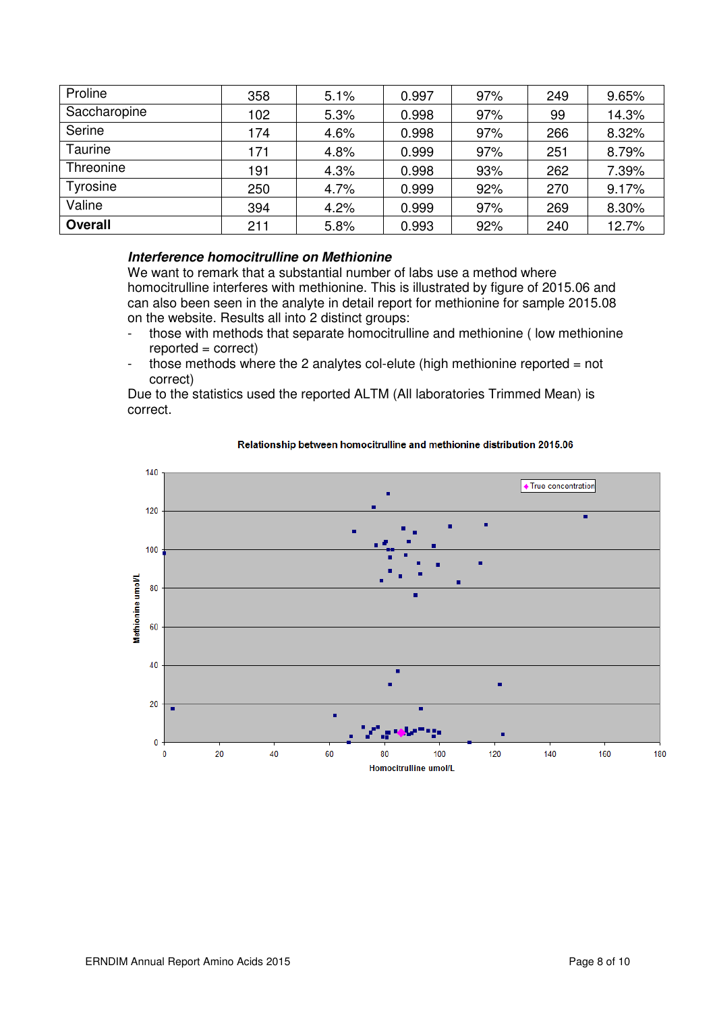| Proline        | 358 | 5.1% | 0.997 | 97% | 249 | 9.65% |
|----------------|-----|------|-------|-----|-----|-------|
| Saccharopine   | 102 | 5.3% | 0.998 | 97% | 99  | 14.3% |
| Serine         | 174 | 4.6% | 0.998 | 97% | 266 | 8.32% |
| <b>Taurine</b> | 171 | 4.8% | 0.999 | 97% | 251 | 8.79% |
| Threonine      | 191 | 4.3% | 0.998 | 93% | 262 | 7.39% |
| Tyrosine       | 250 | 4.7% | 0.999 | 92% | 270 | 9.17% |
| Valine         | 394 | 4.2% | 0.999 | 97% | 269 | 8.30% |
| <b>Overall</b> | 211 | 5.8% | 0.993 | 92% | 240 | 12.7% |

#### **Interference homocitrulline on Methionine**

We want to remark that a substantial number of labs use a method where homocitrulline interferes with methionine. This is illustrated by figure of 2015.06 and can also been seen in the analyte in detail report for methionine for sample 2015.08 on the website. Results all into 2 distinct groups:

- those with methods that separate homocitrulline and methionine (low methionine  $reported = correct$
- those methods where the 2 analytes col-elute (high methionine reported  $=$  not correct)

Due to the statistics used the reported ALTM (All laboratories Trimmed Mean) is correct.



#### Relationship between homocitrulline and methionine distribution 2015.06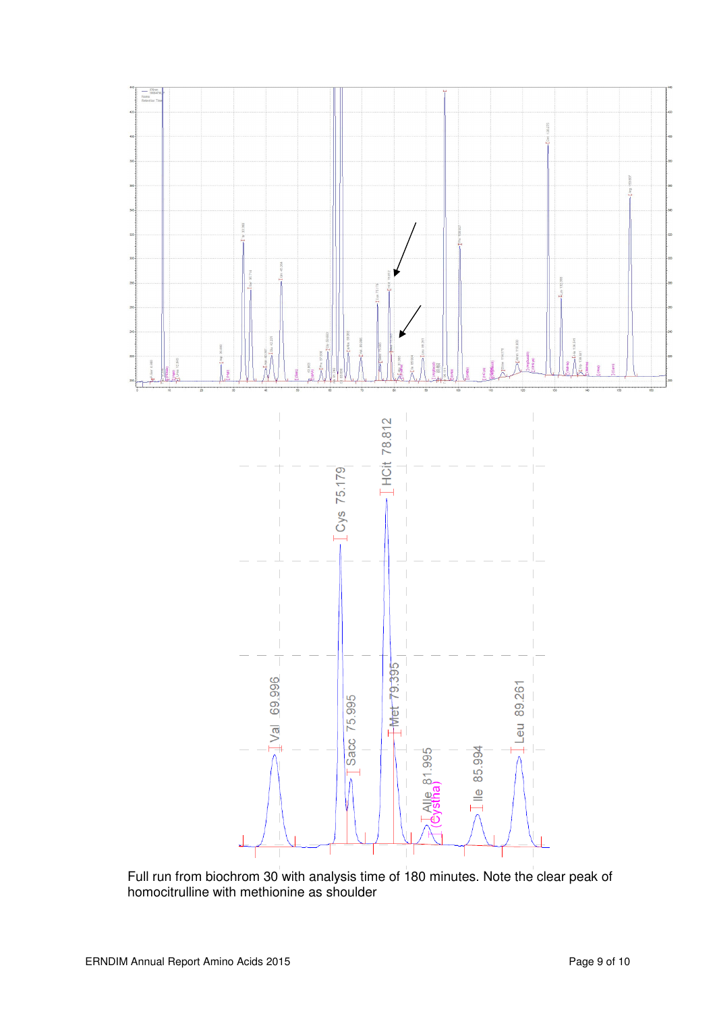

Full run from biochrom 30 with analysis time of 180 minutes. Note the clear peak of homocitrulline with methionine as shoulder